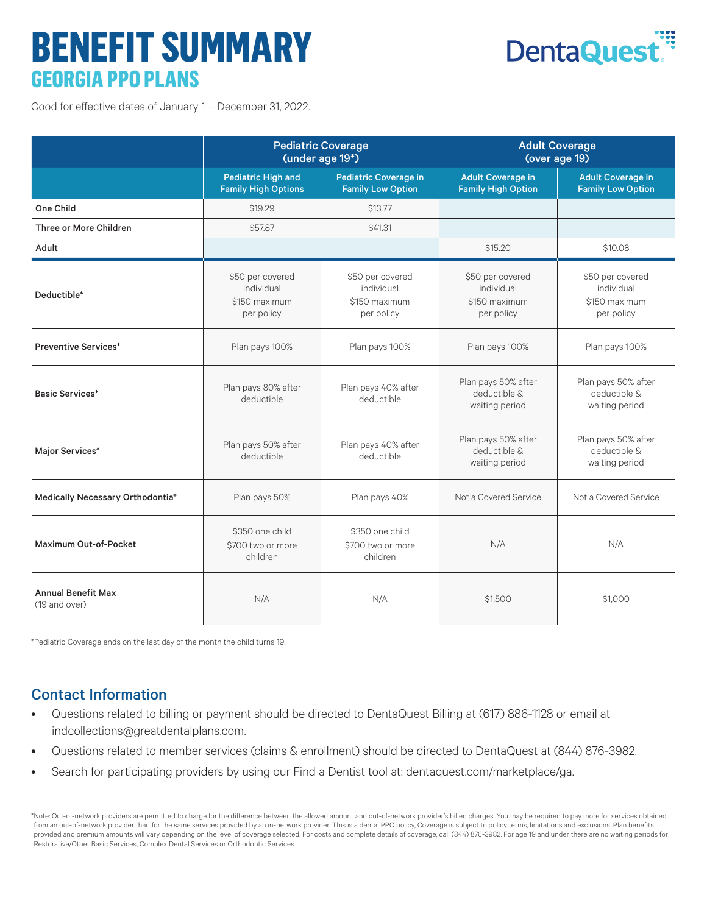# **BENEFIT SUMMARY GEORGIA PPO PLANS**



Good for effective dates of January 1 – December 31, 2022.

|                                            | <b>Pediatric Coverage</b><br>(under age 19*)                  |                                                               | <b>Adult Coverage</b><br>(over age 19)                        |                                                               |
|--------------------------------------------|---------------------------------------------------------------|---------------------------------------------------------------|---------------------------------------------------------------|---------------------------------------------------------------|
|                                            | <b>Pediatric High and</b><br><b>Family High Options</b>       | <b>Pediatric Coverage in</b><br><b>Family Low Option</b>      | <b>Adult Coverage in</b><br><b>Family High Option</b>         | <b>Adult Coverage in</b><br><b>Family Low Option</b>          |
| One Child                                  | \$19.29                                                       | \$13.77                                                       |                                                               |                                                               |
| Three or More Children                     | \$57.87                                                       | \$41.31                                                       |                                                               |                                                               |
| Adult                                      |                                                               |                                                               | \$15.20                                                       | \$10.08                                                       |
| Deductible*                                | \$50 per covered<br>individual<br>\$150 maximum<br>per policy | \$50 per covered<br>individual<br>\$150 maximum<br>per policy | \$50 per covered<br>individual<br>\$150 maximum<br>per policy | \$50 per covered<br>individual<br>\$150 maximum<br>per policy |
| <b>Preventive Services*</b>                | Plan pays 100%                                                | Plan pays 100%                                                | Plan pays 100%                                                | Plan pays 100%                                                |
| <b>Basic Services*</b>                     | Plan pays 80% after<br>deductible                             | Plan pays 40% after<br>deductible                             | Plan pays 50% after<br>deductible &<br>waiting period         | Plan pays 50% after<br>deductible &<br>waiting period         |
| Major Services*                            | Plan pays 50% after<br>deductible                             | Plan pays 40% after<br>deductible                             | Plan pays 50% after<br>deductible &<br>waiting period         | Plan pays 50% after<br>deductible &<br>waiting period         |
| Medically Necessary Orthodontia*           | Plan pays 50%                                                 | Plan pays 40%                                                 | Not a Covered Service                                         | Not a Covered Service                                         |
| Maximum Out-of-Pocket                      | \$350 one child<br>\$700 two or more<br>children              | \$350 one child<br>\$700 two or more<br>children              | N/A                                                           | N/A                                                           |
| <b>Annual Benefit Max</b><br>(19 and over) | N/A                                                           | N/A                                                           | \$1,500                                                       | \$1,000                                                       |

\*Pediatric Coverage ends on the last day of the month the child turns 19.

## Contact Information

- Questions related to billing or payment should be directed to DentaQuest Billing at (617) 886-1128 or email at indcollections@greatdentalplans.com.
- Questions related to member services (claims & enrollment) should be directed to DentaQuest at (844) 876-3982.
- Search for participating providers by using our Find a Dentist tool at: dentaquest.com/marketplace/ga.

\*Note: Out-of-network providers are permitted to charge for the difference between the allowed amount and out-of-network provider's billed charges. You may be required to pay more for services obtained from an out-of-network provider than for the same services provided by an in-network provider. This is a dental PPO policy, Coverage is subject to policy terms, limitations and exclusions. Plan benefits provided and premium amounts will vary depending on the level of coverage selected. For costs and complete details of coverage, call (844) 876-3982. For age 19 and under there are no waiting periods for Restorative/Other Basic Services, Complex Dental Services or Orthodontic Services.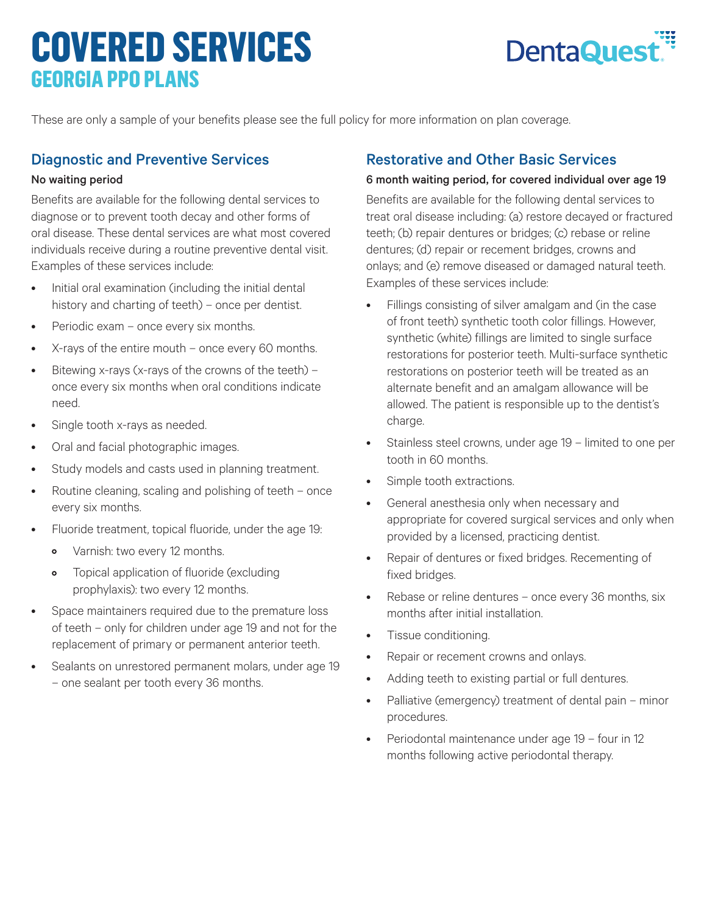## **COVERED SERVICES GEORGIA PPO PLANS**



These are only a sample of your benefits please see the full policy for more information on plan coverage.

#### Diagnostic and Preventive Services

#### No waiting period

Benefits are available for the following dental services to diagnose or to prevent tooth decay and other forms of oral disease. These dental services are what most covered individuals receive during a routine preventive dental visit. Examples of these services include:

- Initial oral examination (including the initial dental history and charting of teeth) – once per dentist.
- Periodic exam once every six months.
- X-rays of the entire mouth once every 60 months.
- Bitewing x-rays (x-rays of the crowns of the teeth) once every six months when oral conditions indicate need.
- Single tooth x-rays as needed.
- Oral and facial photographic images.
- Study models and casts used in planning treatment.
- Routine cleaning, scaling and polishing of teeth once every six months.
- Fluoride treatment, topical fluoride, under the age 19:
	- Varnish: two every 12 months.
	- Topical application of fluoride (excluding prophylaxis): two every 12 months.
- Space maintainers required due to the premature loss of teeth – only for children under age 19 and not for the replacement of primary or permanent anterior teeth.
- Sealants on unrestored permanent molars, under age 19 – one sealant per tooth every 36 months.

#### Restorative and Other Basic Services

#### 6 month waiting period, for covered individual over age 19

Benefits are available for the following dental services to treat oral disease including: (a) restore decayed or fractured teeth; (b) repair dentures or bridges; (c) rebase or reline dentures; (d) repair or recement bridges, crowns and onlays; and (e) remove diseased or damaged natural teeth. Examples of these services include:

- Fillings consisting of silver amalgam and (in the case of front teeth) synthetic tooth color fillings. However, synthetic (white) fillings are limited to single surface restorations for posterior teeth. Multi-surface synthetic restorations on posterior teeth will be treated as an alternate benefit and an amalgam allowance will be allowed. The patient is responsible up to the dentist's charge.
- Stainless steel crowns, under age 19 limited to one per tooth in 60 months.
- Simple tooth extractions.
- General anesthesia only when necessary and appropriate for covered surgical services and only when provided by a licensed, practicing dentist.
- Repair of dentures or fixed bridges. Recementing of fixed bridges.
- Rebase or reline dentures once every 36 months, six months after initial installation.
- Tissue conditioning.
- Repair or recement crowns and onlays.
- Adding teeth to existing partial or full dentures.
- Palliative (emergency) treatment of dental pain minor procedures.
- Periodontal maintenance under age 19 four in 12 months following active periodontal therapy.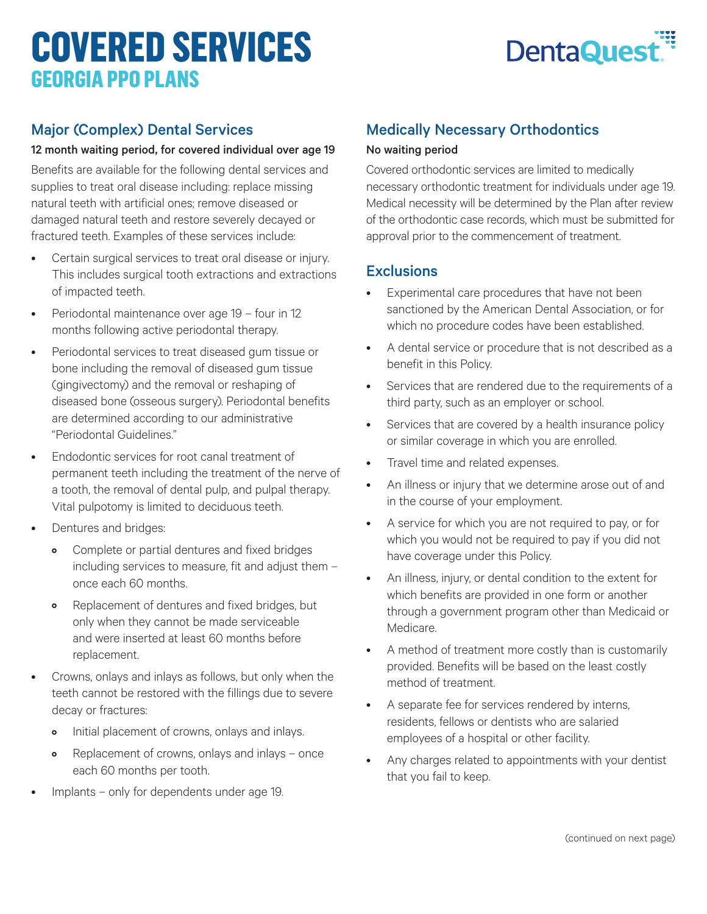# **COVERED SERVICES GEORGIA PPO PLANS**



## Major (Complex) Dental Services

#### 12 month waiting period, for covered individual over age 19

Benefits are available for the following dental services and supplies to treat oral disease including: replace missing natural teeth with artificial ones; remove diseased or damaged natural teeth and restore severely decayed or fractured teeth. Examples of these services include:

- Certain surgical services to treat oral disease or injury. This includes surgical tooth extractions and extractions of impacted teeth.
- Periodontal maintenance over age 19 four in 12 months following active periodontal therapy.
- Periodontal services to treat diseased gum tissue or bone including the removal of diseased gum tissue (gingivectomy) and the removal or reshaping of diseased bone (osseous surgery). Periodontal benefits are determined according to our administrative "Periodontal Guidelines."
- Endodontic services for root canal treatment of permanent teeth including the treatment of the nerve of a tooth, the removal of dental pulp, and pulpal therapy. Vital pulpotomy is limited to deciduous teeth.
- Dentures and bridges:
	- Complete or partial dentures and fixed bridges including services to measure, fit and adjust them – once each 60 months.
	- Replacement of dentures and fixed bridges, but only when they cannot be made serviceable and were inserted at least 60 months before replacement.
- Crowns, onlays and inlays as follows, but only when the teeth cannot be restored with the fillings due to severe decay or fractures:
	- Initial placement of crowns, onlays and inlays.
	- Replacement of crowns, onlays and inlays once each 60 months per tooth.
- Implants only for dependents under age 19.

## Medically Necessary Orthodontics

#### No waiting period

Covered orthodontic services are limited to medically necessary orthodontic treatment for individuals under age 19. Medical necessity will be determined by the Plan after review of the orthodontic case records, which must be submitted for approval prior to the commencement of treatment.

#### **Exclusions**

- Experimental care procedures that have not been sanctioned by the American Dental Association, or for which no procedure codes have been established.
- A dental service or procedure that is not described as a benefit in this Policy.
- Services that are rendered due to the requirements of a third party, such as an employer or school.
- Services that are covered by a health insurance policy or similar coverage in which you are enrolled.
- Travel time and related expenses.
- An illness or injury that we determine arose out of and in the course of your employment.
- A service for which you are not required to pay, or for which you would not be required to pay if you did not have coverage under this Policy.
- An illness, injury, or dental condition to the extent for which benefits are provided in one form or another through a government program other than Medicaid or Medicare.
- A method of treatment more costly than is customarily provided. Benefits will be based on the least costly method of treatment.
- A separate fee for services rendered by interns, residents, fellows or dentists who are salaried employees of a hospital or other facility.
- Any charges related to appointments with your dentist that you fail to keep.